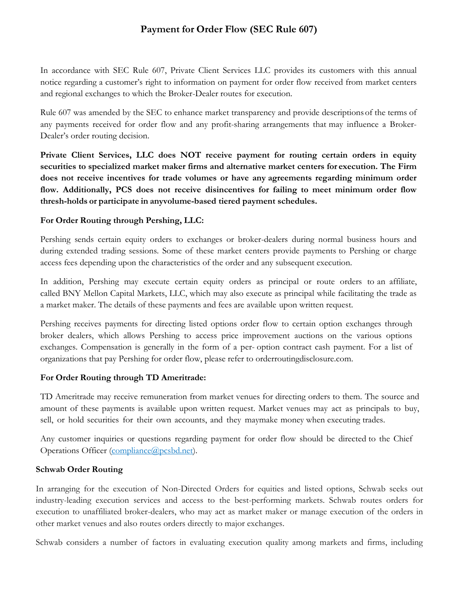# **Payment for Order Flow (SEC Rule 607)**

In accordance with SEC Rule 607, Private Client Services LLC provides its customers with this annual notice regarding a customer's right to information on payment for order flow received from market centers and regional exchanges to which the Broker-Dealer routes for execution.

Rule 607 was amended by the SEC to enhance market transparency and provide descriptions of the terms of any payments received for order flow and any profit-sharing arrangements that may influence a Broker-Dealer's order routing decision.

**Private Client Services, LLC does NOT receive payment for routing certain orders in equity securities to specialized market maker firms and alternative market centers for execution. The Firm does not receive incentives for trade volumes or have any agreements regarding minimum order flow. Additionally, PCS does not receive disincentives for failing to meet minimum order flow thresh-holds or participate in anyvolume-based tiered payment schedules.**

## **For Order Routing through Pershing, LLC:**

Pershing sends certain equity orders to exchanges or broker-dealers during normal business hours and during extended trading sessions. Some of these market centers provide payments to Pershing or charge access fees depending upon the characteristics of the order and any subsequent execution.

In addition, Pershing may execute certain equity orders as principal or route orders to an affiliate, called BNY Mellon Capital Markets, LLC, which may also execute as principal while facilitating the trade as a market maker. The details of these payments and fees are available upon written request.

Pershing receives payments for directing listed options order flow to certain option exchanges through broker dealers, which allows Pershing to access price improvement auctions on the various options exchanges. Compensation is generally in the form of a per- option contract cash payment. For a list of organizations that pay Pershing for order flow, please refer to orderroutingdisclosure.com.

## **For Order Routing through TD Ameritrade:**

TD Ameritrade may receive remuneration from market venues for directing orders to them. The source and amount of these payments is available upon written request. Market venues may act as principals to buy, sell, or hold securities for their own accounts, and they maymake money when executing trades.

Any customer inquiries or questions regarding payment for order flow should be directed to the Chief Operations Officer (compliance@pcsbd.net).

## **Schwab Order Routing**

In arranging for the execution of Non-Directed Orders for equities and listed options, Schwab seeks out industry-leading execution services and access to the best-performing markets. Schwab routes orders for execution to unaffiliated broker-dealers, who may act as market maker or manage execution of the orders in other market venues and also routes orders directly to major exchanges.

Schwab considers a number of factors in evaluating execution quality among markets and firms, including